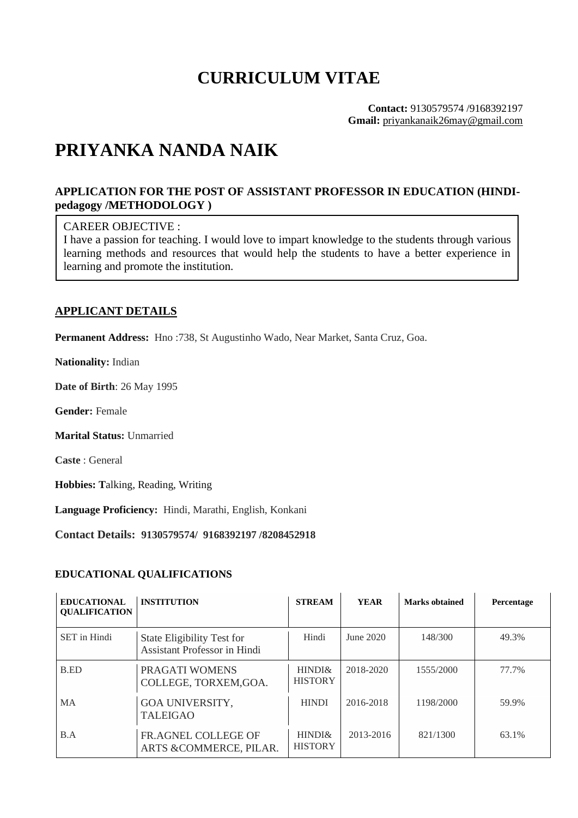# **CURRICULUM VITAE**

**Contact:** 9130579574 /9168392197 **Gmail:** priyankanaik26may@gmail.com

# **PRIYANKA NANDA NAIK**

# **APPLICATION FOR THE POST OF ASSISTANT PROFESSOR IN EDUCATION (HINDIpedagogy /METHODOLOGY )**

### CAREER OBJECTIVE :

I have a passion for teaching. I would love to impart knowledge to the students through various learning methods and resources that would help the students to have a better experience in learning and promote the institution.

## **APPLICANT DETAILS**

**Permanent Address:** Hno :738, St Augustinho Wado, Near Market, Santa Cruz, Goa.

**Nationality:** Indian

**Date of Birth**: 26 May 1995

**Gender:** Female

**Marital Status:** Unmarried

**Caste** : General

**Hobbies: T**alking, Reading, Writing

**Language Proficiency:** Hindi, Marathi, English, Konkani

**Contact Details: 9130579574/ 9168392197 /8208452918**

#### **EDUCATIONAL QUALIFICATIONS**

| <b>EDUCATIONAL</b><br><b>OUALIFICATION</b> | <b>INSTITUTION</b>                                         | <b>STREAM</b>            | <b>YEAR</b> | <b>Marks obtained</b> | Percentage |
|--------------------------------------------|------------------------------------------------------------|--------------------------|-------------|-----------------------|------------|
| <b>SET</b> in Hindi                        | State Eligibility Test for<br>Assistant Professor in Hindi | Hindi                    | June 2020   | 148/300               | 49.3%      |
| B.ED                                       | PRAGATI WOMENS<br>COLLEGE, TORXEM, GOA.                    | HINDI&<br><b>HISTORY</b> | 2018-2020   | 1555/2000             | 77.7%      |
| <b>MA</b>                                  | <b>GOA UNIVERSITY,</b><br><b>TALEIGAO</b>                  | <b>HINDI</b>             | 2016-2018   | 1198/2000             | 59.9%      |
| B.A                                        | <b>FR.AGNEL COLLEGE OF</b><br>ARTS & COMMERCE, PILAR.      | HINDI&<br><b>HISTORY</b> | 2013-2016   | 821/1300              | 63.1%      |